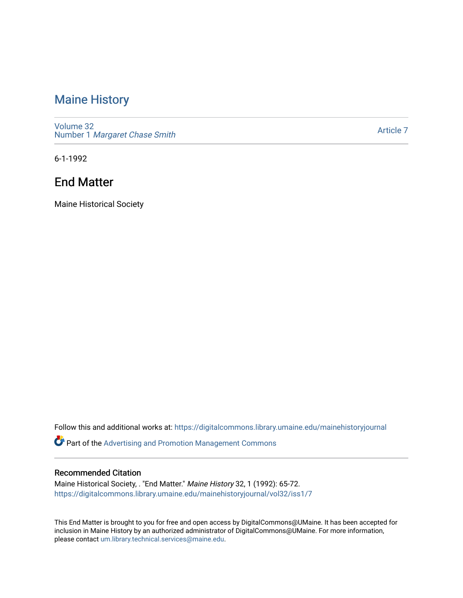## [Maine History](https://digitalcommons.library.umaine.edu/mainehistoryjournal)

[Volume 32](https://digitalcommons.library.umaine.edu/mainehistoryjournal/vol32) Number 1 [Margaret Chase Smith](https://digitalcommons.library.umaine.edu/mainehistoryjournal/vol32/iss1) 

[Article 7](https://digitalcommons.library.umaine.edu/mainehistoryjournal/vol32/iss1/7) 

6-1-1992

## End Matter

Maine Historical Society

Follow this and additional works at: [https://digitalcommons.library.umaine.edu/mainehistoryjournal](https://digitalcommons.library.umaine.edu/mainehistoryjournal?utm_source=digitalcommons.library.umaine.edu%2Fmainehistoryjournal%2Fvol32%2Fiss1%2F7&utm_medium=PDF&utm_campaign=PDFCoverPages) 

Part of the [Advertising and Promotion Management Commons](http://network.bepress.com/hgg/discipline/626?utm_source=digitalcommons.library.umaine.edu%2Fmainehistoryjournal%2Fvol32%2Fiss1%2F7&utm_medium=PDF&utm_campaign=PDFCoverPages) 

#### Recommended Citation

Maine Historical Society, . "End Matter." Maine History 32, 1 (1992): 65-72. [https://digitalcommons.library.umaine.edu/mainehistoryjournal/vol32/iss1/7](https://digitalcommons.library.umaine.edu/mainehistoryjournal/vol32/iss1/7?utm_source=digitalcommons.library.umaine.edu%2Fmainehistoryjournal%2Fvol32%2Fiss1%2F7&utm_medium=PDF&utm_campaign=PDFCoverPages)

This End Matter is brought to you for free and open access by DigitalCommons@UMaine. It has been accepted for inclusion in Maine History by an authorized administrator of DigitalCommons@UMaine. For more information, please contact [um.library.technical.services@maine.edu.](mailto:um.library.technical.services@maine.edu)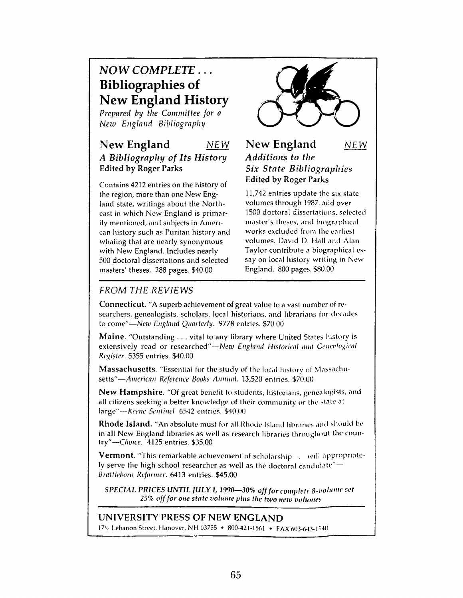# *N O W COMPLETE . . .* **Bibliographies of New England History**

*Prepared by the Committee for a N e w E n g la n d B ib lio g r a p h y*

## **New England** *NEW A Bibliography of Its History* Edited by Roger Parks

Contains 4212 entries on the history of the region, more than one New England state, writings about the Northeast in which New England is primarily mentioned, and subjects in American history such as Puritan history and whaling that are nearly synonymous with New England. Includes nearly 500 doctoral dissertations and selected masters' theses. 288 pages. \$40.00



#### **New England** *NEW Additions to the Six State Bibliographies* Edited by Roger Parks

11,742 entries update the six state volumes through 1987, add over 1500 doctoral dissertations, selected master's theses, and biographical works excluded from the earliest volumes. David D. Mall and Alan Taylor contribute a biographical essay on local history writing in New England. 800 pages. \$80.00

## *FROM THE REVIEWS*

Connecticut. "A superb achievement of great value to a vast number of researchers, genealogists, scholars, local historians, and librarians for decades to come"—*Nezv England Quarterly.* 9778 entries. \$70 00

Maine. "Outstanding . . . vital to any library where United States history is extensively read or researched"—*New England Historical and Genealogical Register.* 5355 entries. \$40.00

Massachusetts. "Essential for the study of the local history of Massachusetts"—*American Reference Books Annual.* 13,520 entries. \$70.00

New Hampshire. "Of great benefit to students, historians, genealogists, and all citizens seeking a better knowledge of their community or the state at large"--- Keene Sentinel 6542 entries. \$40.00

Rhode Island. "An absolute must for all Rhode Island libraries and should be in all New England libraries as well as research libraries throughout the country"—*Choice.* 4125 entries. \$35.00

Vermont. "This remarkable achievement of scholarship . will appropriately serve the high school researcher as well as the doctoral candidate" $-$ *Brattleboro Reformer.* 6413 entries. \$45.00

*SPECIAL PRICES UNTIL JULY 1, 1990-30% off for complete 8-volume set* 25% off for one state volume plus the two new volumes

# UNIVERSITY PRESS OF NEW ENGLAND

17'v Lebanon Street, Hanover, NH 03755 \* 800-421-1561 • FAX 603-643-1540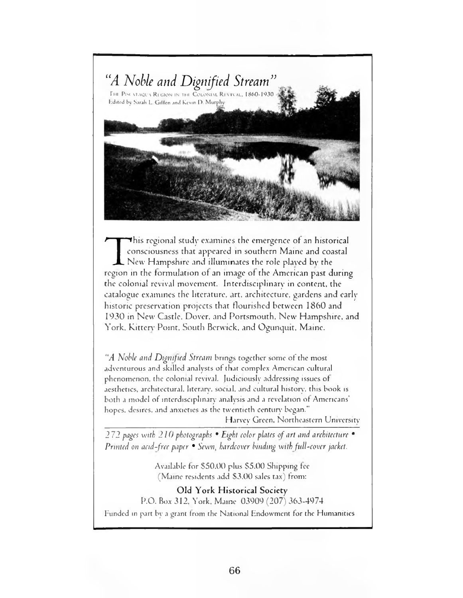

This regional study examines the emergence of an historical<br>consciousness that appeared in southern Maine and coastal<br>New Hampshire and illuminates the role played by the<br>region in the formulation of an image of the Americ  $\blacktriangledown$ his regional study examines the emergence of an historical consciousness that appeared in southern Maine and coastal  $\Box$  New Hampshire and illuminates the role played by the the colonial revival movement. Interdisciplinary in content, the catalogue examines the literature, art. architecture, gardens and early historic preservation projects that flourished between 1860 and 1930 in New Castle. Dover, and Portsmouth. New Hampshire, and York. Kittery Point, South Berwick, and Ogunquit, Maine.

"A *Noble and Dignified Stream* brings together some of the most adventurous and skilled analysts of that complex American cultural phenomenon, the colonial revival. Judiciously addressing issues of aesthetics, architectural, literary', social, and cultural history', this book is both a model of interdisciplinary analysis and a revelation of Americans' hopes, desires, and anxieties as the twentieth century began."

Harvey Green. Northeastern University

2 7 2 *pages with 210 photographs* • *Eight color plates o f art and architecture* • *Printed on acid-free paper* • *Sewn, hardcover binding with full-cover jacket.* 

> Available for \$50.00 plus \$5.00 Shipping fee (Maine residents add \$3.00 sales tax) from:

Old York Historical Society P.O. Box 312. York. Maine 03909 (207) 363-4974 Funded in part by a grant from the National Endowment for the Humanities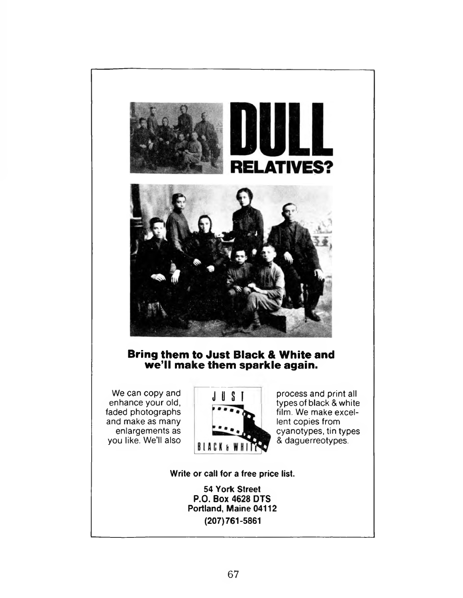

## **Bring them to Just Black & White and we'll make them sparkle again.**

We can copy and enhance your old, faded photographs and make as many enlargements as you like. We'll also



JUST process and print all types of black & white film. We make excellent copies from cyanotypes, tin types & daguerreotypes.

**Write or call for a free price list.**

**54 York Street P.0. Box 4628 DTS Portland, Maine 04112 (207)761-5861**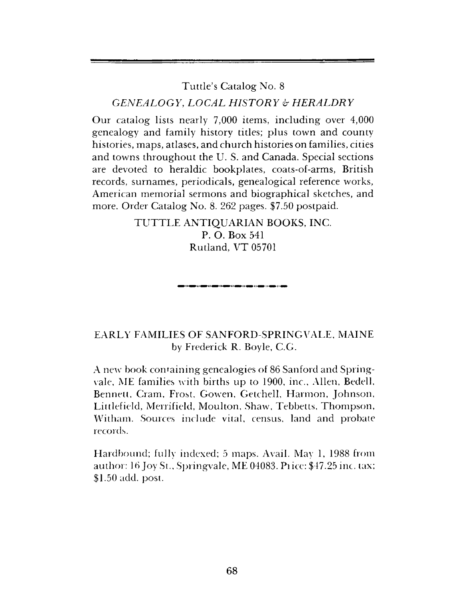# Tuttle's Catalog No. 8 *GENEALOGY, LOCAL HISTORY & HERALDRY*

Our catalog lists nearly 7,000 items, including over 4,000 genealogy and family history titles; plus town and county histories, maps, atlases, and church histories on families, cities and towns throughout the U. S. and Canada. Special sections are devoted to heraldic bookplates, coats-of-arms, British records, surnames, periodicals, genealogical reference works, American memorial sermons and biographical sketches, and more. Order Catalog No. 8. 262 pages. \$7.50 postpaid.

> TUTTLE ANTIQUARIAN BOOKS, INC. P. O. Box 541 Rutland, VT 05701

> > .<br>In 1940, and 1940, and 1940, and 1940, and 1940, and 1940, and 1940, and 1940, and 1940, and 1940, and 1940, a

## EARLY FAMILIES OF SANFORD-SPRINGVALE, MAINE by Frederick R. Boyle, C.G.

A new book containing genealogies of 86 Sanford and Springvale, ME families with births up to 1900, inc., Allen, Bedell, Bennett, Cram, Frost, Gowen, Getchell, Harmon, Johnson, Littlefield, Merrifield, Moulton, Shaw, Tebbetts, Thompson, Witham. Sources include vital, census, land and probate records.

Hardbound; fully indexed; 5 maps. Avail. May 1, 1988 from author: 16 Joy St., Springvale, ME 04083. Pi ice: \$47.25 inc. tax; \$1.50 add. post.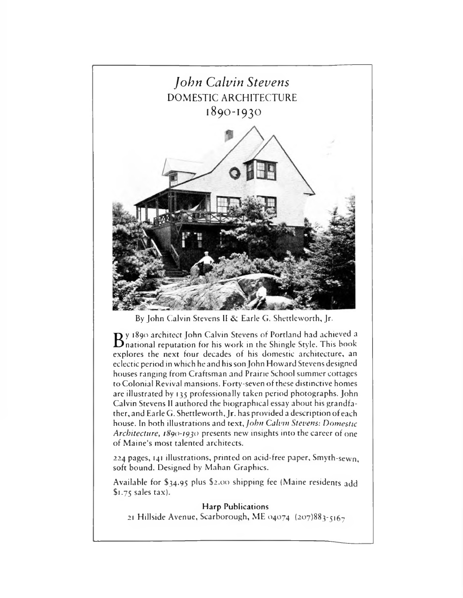

By John Calvin Stevens II & Earle G. Shettleworth, Jr.

By 1890 architect John Calvin Stevens of Portland had achieved a<br>B national reputation for his work in the Shingle Style. This book national reputation for his work in the Shingle Style. This book explores the next four decades of his domestic architecture, an eclectic period in which he and his son John Howard Stevens designed houses ranging from Craftsman and Prairie School summer cottages to Colonial Revival mansions. Forty-seven of these distinctive homes are illustrated by 135 professionally taken period photographs. John Calvin Stevens II authored the biographical essay about his grandfather, and Earle G. Shettleworth, Jr. has provided a description of each house. In both illustrations and *text*, *John Calvin Stevens: Domestic Architecture, 1890-1930* presents new insights into the career of one of Maine's most talented architects.

224 pages, 141 illustrations, printed on acid-free paper, Smyth-sewn, soft bound. Designed by Mahan Graphics.

Available for \$34.95 plus \$2.00 shipping fee (Maine residents add \$1.75 sales tax).

**Harp Publications** 21 Hillside Avenue, Scarborough, ME 04074  $(207)883 - 5167$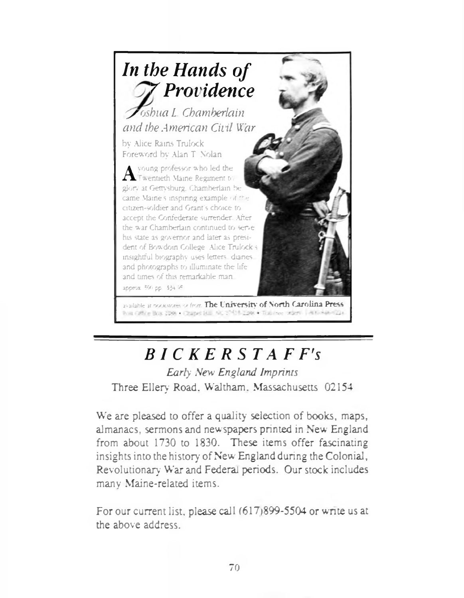

available at pockstores or from. The University of North Carolina Press. his Office Box 2008 · Chapel B. I. AC 17418-2308 · Top meet when I Although

# *B I C K E R S T A F F's*

*Early New England Imprints* Three Ellery Road. Waltham. Massachusetts 02154

We are pleased to offer a quality selection of books, maps, almanacs, sermons and newspapers printed in New England from about 1730 to 1830. These items offer fascinating insights into the history of New England during the Colonial, Revolutionary War and Federal periods. Our stock includes many Maine-related items.

For our current list, please call (617)899-5504 or write us at the above address.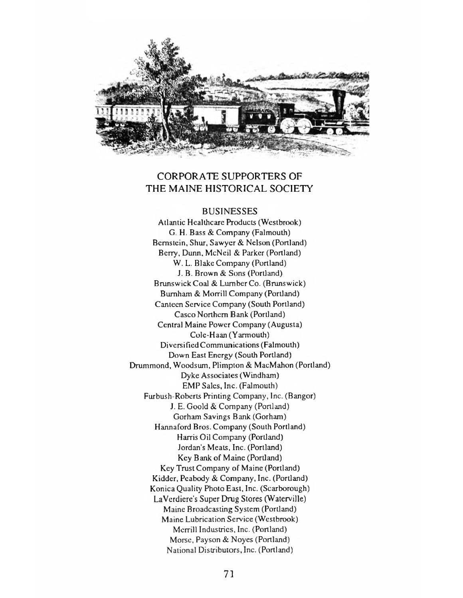

#### CORPORATE SUPPORTERS OF THE MAINE HISTORICAL SOCIETY

#### BUSINESSES

Atlantic Healthcare Products (Westbrook) G. H. Bass *&* Company (Falmouth) Bernstein, Shur, Sawyer & Nelson (Portland) Berry, Dunn, McNeil & Parker (Portland) W. L. Blake Company (Portland) J. B. Brown *&* Sons (Portland) Brunswick Coal & Lumber Co. (Brunswick) Burnham & Morrill Company (Portland) Canteen Service Company (South Portland) Casco Northern Bank (Portland) Central Maine Power Company (Augusta) Cole-H aan (Y armouth) Diversified Communications (Falmouth) Down East Energy (South Portland) Drummond, Woodsum, Plimpton & MacMahon (Portland) Dyke Associates (Windham) EMP Sales, Inc. (Falmouth) Furbush-Roberts Printing Company, Inc. (Bangor) J. E. Goold & Company (Portland) Gorham Savings Bank (Gorham) Hannaford Bros. Company (South Portland) Harris Oil Company (Portland) Jordan's Meats, Inc. (Portland) Key Bank of Maine (Portland) Key Trust Company of Maine (Portland) Kidder, Peabody & Company, Inc. (Portland) Konica Quality Photo East, Inc. (Scarborough) LaVerdiere's Super Drug Stores (Waterville) Maine Broadcasting System (Portland) Maine Lubrication Service (Westbrook) Merrill Industries, Inc. (Portland) Morse, Payson & Noyes (Portland) National Distributors, Inc. (Portland)